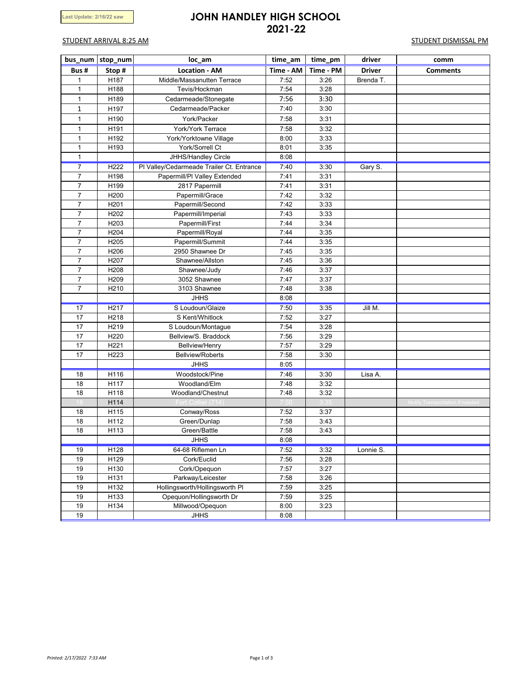# **Last Update: 2/16/22 saw JOHN HANDLEY HIGH SCHOOL 2021-22**

## STUDENT ARRIVAL 8:25 AM STUDENT DISMISSAL PM

|                | bus_num stop_num  | loc_am                                    | time_am   | time_pm   | driver        | comm                                   |
|----------------|-------------------|-------------------------------------------|-----------|-----------|---------------|----------------------------------------|
| Bus#           | Stop#             | <b>Location - AM</b>                      | Time - AM | Time - PM | <b>Driver</b> | <b>Comments</b>                        |
| 1              | H187              | Middle/Massanutten Terrace                | 7:52      | 3:26      | Brenda T.     |                                        |
| $\mathbf{1}$   | H188              | Tevis/Hockman                             | 7:54      | 3:28      |               |                                        |
| $\mathbf{1}$   | H189              | Cedarmeade/Stonegate                      | 7:56      | 3:30      |               |                                        |
| 1              | H197              | Cedarmeade/Packer                         | 7:40      | 3:30      |               |                                        |
| $\mathbf{1}$   | H190              | York/Packer                               | 7:58      | 3:31      |               |                                        |
| $\mathbf{1}$   | H <sub>191</sub>  | York/York Terrace                         | 7:58      | 3:32      |               |                                        |
| $\mathbf{1}$   | H192              | York/Yorktowne Village                    | 8:00      | 3:33      |               |                                        |
| 1              | H193              | York/Sorrell Ct                           | 8:01      | 3:35      |               |                                        |
| $\mathbf{1}$   |                   | JHHS/Handley Circle                       | 8:08      |           |               |                                        |
| $\overline{7}$ | H <sub>222</sub>  | PI Valley/Cedarmeade Trailer Ct. Entrance | 7:40      | 3:30      | Gary S.       |                                        |
| $\overline{7}$ | H198              | Papermill/PI Valley Extended              | 7:41      | 3:31      |               |                                        |
| $\overline{7}$ | H199              | 2817 Papermill                            | 7:41      | 3:31      |               |                                        |
| $\overline{7}$ | H <sub>200</sub>  | Papermill/Grace                           | 7:42      | 3:32      |               |                                        |
| $\overline{7}$ | H201              | Papermill/Second                          | 7:42      | 3:33      |               |                                        |
| $\overline{7}$ | H202              | Papermill/Imperial                        | 7:43      | 3:33      |               |                                        |
| $\overline{7}$ | H203              | Papermill/First                           | 7:44      | 3:34      |               |                                        |
| $\overline{7}$ | H204              | Papermill/Royal                           | 7:44      | 3:35      |               |                                        |
| $\overline{7}$ | H <sub>205</sub>  | Papermill/Summit                          | 7:44      | 3:35      |               |                                        |
| $\overline{7}$ | H <sub>206</sub>  | 2950 Shawnee Dr                           | 7:45      | 3:35      |               |                                        |
| 7              | H207              | Shawnee/Allston                           | 7:45      | 3:36      |               |                                        |
| $\overline{7}$ | H208              | Shawnee/Judy                              | 7:46      | 3:37      |               |                                        |
| $\overline{7}$ | H <sub>209</sub>  | 3052 Shawnee                              | 7:47      | 3:37      |               |                                        |
| $\overline{7}$ | H <sub>210</sub>  | 3103 Shawnee                              | 7:48      | 3:38      |               |                                        |
|                |                   | <b>JHHS</b>                               | 8:08      |           |               |                                        |
| 17             | H <sub>217</sub>  | S Loudoun/Glaize                          | 7:50      | 3:35      | Jill M.       |                                        |
| 17             | H <sub>2</sub> 18 | S Kent/Whitlock                           | 7:52      | 3:27      |               |                                        |
| 17             | H219              | S Loudoun/Montague                        | 7:54      | 3:28      |               |                                        |
| 17             | H220              | Bellview/S. Braddock                      | 7:56      | 3:29      |               |                                        |
| 17             | H221              | <b>Bellview/Henry</b>                     | 7:57      | 3:29      |               |                                        |
| 17             | H <sub>223</sub>  | <b>Bellview/Roberts</b>                   | 7:58      | 3:30      |               |                                        |
|                |                   | <b>JHHS</b>                               | 8:05      |           |               |                                        |
| 18             | H116              | Woodstock/Pine                            | 7:46      | 3:30      | Lisa A.       |                                        |
| 18             | H117              | Woodland/Elm                              | 7:48      | 3:32      |               |                                        |
| 18             | H118              | Woodland/Chestnut                         | 7:48      | 3:32      |               |                                        |
|                | H114              | Fort Collier                              |           |           |               | <b>Notify Transportation if needed</b> |
| 18             | H115              | Conway/Ross                               | 7:52      | 3:37      |               |                                        |
| 18             | H112              | Green/Dunlap                              | 7:58      | 3:43      |               |                                        |
| 18             | H113              | Green/Battle                              | 7:58      | 3:43      |               |                                        |
|                |                   | <b>JHHS</b>                               | 8:08      |           |               |                                        |
| 19             | H128              | 64-68 Riflemen Ln                         | 7:52      | 3:32      | Lonnie S.     |                                        |
| 19             | H129              | Cork/Euclid                               | 7:56      | 3:28      |               |                                        |
| 19             | H130              | Cork/Opequon                              | 7:57      | 3:27      |               |                                        |
| 19             | H131              | Parkway/Leicester                         | 7:58      | 3:26      |               |                                        |
| 19             | H132              | Hollingsworth/Hollingsworth PI            | 7:59      | 3:25      |               |                                        |
| 19             | H133              | Opequon/Hollingsworth Dr                  | 7:59      | 3:25      |               |                                        |
| 19             | H134              | Millwood/Opequon                          | 8:00      | 3:23      |               |                                        |
| 19             |                   | <b>JHHS</b>                               | 8:08      |           |               |                                        |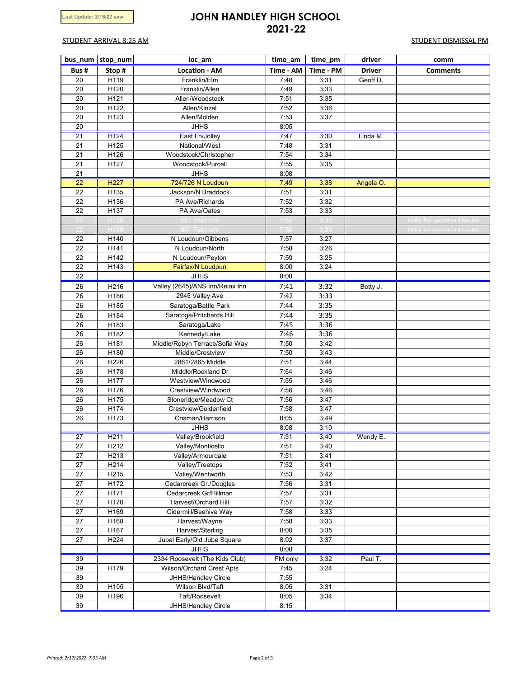# **Last Update: 2/16/22 saw JOHN HANDLEY HIGH SCHOOL 2021-22**

## STUDENT ARRIVAL 8:25 AM STUDENT DISMISSAL PM

|                 | bus num stop num  | loc_am                                     | time_am      | time_pm      | driver        | comm                            |
|-----------------|-------------------|--------------------------------------------|--------------|--------------|---------------|---------------------------------|
| Bus#            | Stop#             | <b>Location - AM</b>                       | Time - AM    | Time - PM    | <b>Driver</b> | <b>Comments</b>                 |
| 20              | H119              | Franklin/Elm                               | 7:48         | 3:31         | Geoff D.      |                                 |
| 20              | H120              | Franklin/Allen                             | 7:49         | 3:33         |               |                                 |
| 20              | H121              | Allen/Woodstock                            | 7:51         | 3:35         |               |                                 |
| 20              | H122              | Allen/Kinzel                               | 7:52         | 3:36         |               |                                 |
| 20              | H123              | Allen/Molden                               | 7:53         | 3:37         |               |                                 |
| 20              |                   | <b>JHHS</b>                                | 8:05         |              |               |                                 |
| 21              | H124              | East Ln/Jolley                             | 7:47         | 3:30         | Linda M.      |                                 |
| 21              | H125              | National/West                              | 7:48         | 3:31         |               |                                 |
| 21              | H126              | Woodstock/Christopher                      | 7:54         | 3:34         |               |                                 |
| 21<br>21        | H127              | Woodstock/Purcell<br><b>JHHS</b>           | 7:55         | 3:35         |               |                                 |
| $\overline{22}$ | H <sub>227</sub>  | 724/726 N Loudoun                          | 8:08<br>7:49 | 3:38         | Angela O.     |                                 |
| 22              | H135              | Jackson/N Braddock                         | 7:51         | 3:31         |               |                                 |
| 22              | H136              | PA Ave/Richards                            | 7:52         | 3:32         |               |                                 |
| 22              | H137              | PA Ave/Oates                               | 7:53         | 3:33         |               |                                 |
|                 | H138              | 881 Fairmont                               |              |              |               | Notify Transportation if needed |
|                 | H139              | 801 Fairmont                               | 7:56         | 3:35         |               | Notify Transportation if needed |
| 22              | H140              | N Loudoun/Gibbens                          | 7:57         | 3:27         |               |                                 |
| 22              | H141              | N Loudoun/North                            | 7:58         | 3:26         |               |                                 |
| 22              | H142              | N Loudoun/Peyton                           | 7:59         | 3:25         |               |                                 |
| 22              | H143              | Fairfax/N Loudoun                          | 8:00         | 3:24         |               |                                 |
| 22              |                   | <b>JHHS</b>                                | 8:08         |              |               |                                 |
| 26              | H216              | Valley (2645)/ANS Inn/Relax Inn            | 7:41         | 3:32         | Betty J.      |                                 |
| 26              | H186              | 2945 Valley Ave                            | 7:42         | 3:33         |               |                                 |
| 26              | H185              | Saratoga/Battle Park                       | 7:44         | 3:35         |               |                                 |
| 26              | H184              | Saratoga/Pritchards Hill                   | 7:44         | 3:35         |               |                                 |
| 26              | H183              | Saratoga/Lake                              | 7:45         | 3:36         |               |                                 |
| 26              | H182              | Kennedy/Lake                               | 7:46         | 3:36         |               |                                 |
| 26              | H181              | Middle/Robyn Terrace/Sofia Way             | 7:50         | 3:42         |               |                                 |
| 26              | H180              | Middle/Crestview                           | 7:50         | 3:43         |               |                                 |
| 26              | H226              | 2861/2865 Middle                           | 7:51         | 3:44         |               |                                 |
| 26              | H178              | Middle/Rockland Dr                         | 7:54         | 3:46         |               |                                 |
| 26              | H177              | Westview/Windwood                          | 7:55         | 3:46         |               |                                 |
| 26<br>26        | H176<br>H175      | Crestview/Windwood<br>Stoneridge/Meadow Ct | 7:56<br>7:56 | 3:46<br>3:47 |               |                                 |
| 26              | H174              | Crestview/Goldenfield                      | 7:58         | 3:47         |               |                                 |
| 26              | H173              | Crisman/Harrison                           | 8:05         | 3:49         |               |                                 |
|                 |                   | <b>JHHS</b>                                | 8:08         | 3:10         |               |                                 |
| 27              | H211              | Valley/Brookfield                          | 7:51         | 3;40         | Wendy E.      |                                 |
| 27              | H212              | Valley/Monticello                          | 7:51         | 3:40         |               |                                 |
| 27              | H <sub>2</sub> 13 | Valley/Armourdale                          | 7:51         | 3:41         |               |                                 |
| 27              | H <sub>2</sub> 14 | Valley/Treetops                            | 7:52         | 3;41         |               |                                 |
| 27              | H <sub>215</sub>  | Valley/Wentworth                           | 7:53         | 3:42         |               |                                 |
| 27              | H172              | Cedarcreek Gr./Douglas                     | 7:56         | 3:31         |               |                                 |
| 27              | H171              | Cedarcreek Gr/Hillman                      | 7:57         | 3:31         |               |                                 |
| 27              | H170              | Harvest/Orchard Hill                       | 7:57         | 3:32         |               |                                 |
| 27              | H169              | Cidermill/Beehive Way                      | 7:58         | 3:33         |               |                                 |
| 27              | H168              | Harvest/Wayne                              | 7:58         | 3:33         |               |                                 |
| 27              | H167              | Harvest/Sterling                           | 8:00         | 3:35         |               |                                 |
| 27              | H224              | Jubal Early/Old Jube Square                | 8:02         | 3:37         |               |                                 |
|                 |                   | <b>JHHS</b>                                | 8:08         |              |               |                                 |
| 39              |                   | 2334 Roosevelt (The Kids Club)             | PM only      | 3:32         | Paul T.       |                                 |
| 39              | H179              | Wilson/Orchard Crest Apts                  | 7:45         | 3:24         |               |                                 |
| 39              |                   | JHHS/Handley Circle                        | 7:55         |              |               |                                 |
| 39              | H195              | Wilson Blvd/Taft                           | 8:05         | 3:31         |               |                                 |
| 39              | H196              | Taft/Roosevelt                             | 8:05         | 3:34         |               |                                 |
| 39              |                   | JHHS/Handley Circle                        | 8:15         |              |               |                                 |